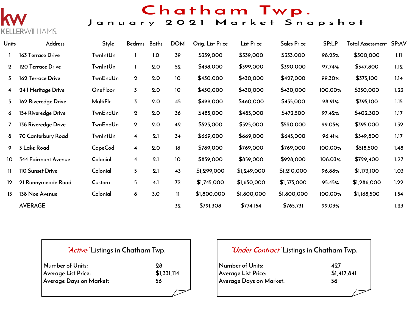

## Chatham Twp.

### January 2021 Market Snapshot

| Units         | Address                    | Style           | Bedrms Baths            |     | <b>DOM</b>   | Orig. List Price | <b>List Price</b> | <b>Sales Price</b> | SP:LP   | <b>Total Assessment SP:AV</b> |      |
|---------------|----------------------------|-----------------|-------------------------|-----|--------------|------------------|-------------------|--------------------|---------|-------------------------------|------|
|               | 163 Terrace Drive          | TwnIntUn        |                         | 1.0 | 39           | \$339,000        | \$339,000         | \$333,000          | 98.23%  | \$300,000                     | 1.11 |
| $\mathbf{2}$  | 120 Terrace Drive          | <b>TwnIntUn</b> | $\mathbf{I}$            | 2.0 | 52           | \$438,000        | \$399,000         | \$390,000          | 97.74%  | \$347,800                     | 1.12 |
| 3             | 162 Terrace Drive          | TwnEndUn        | $\mathbf 2$             | 2.0 | 10           | \$430,000        | \$430,000         | \$427,000          | 99.30%  | \$375,100                     | 1.14 |
| 4             | 24   Heritage Drive        | <b>OneFloor</b> | $\overline{3}$          | 2.0 | 10           | \$430,000        | \$430,000         | \$430,000          | 100.00% | \$350,000                     | 1.23 |
| 5.            | 162 Riveredge Drive        | <b>MultiFlr</b> | $\overline{3}$          | 2.0 | 45           | \$499,000        | \$460,000         | \$455,000          | 98.91%  | \$395,100                     | 1.15 |
| 6             | 154 Riveredge Drive        | TwnEndUn        | $\boldsymbol{2}$        | 2.0 | 36           | \$485,000        | \$485,000         | \$472,500          | 97.42%  | \$402,300                     | 1.17 |
| $\mathbf{7}$  | 138 Riveredge Drive        | TwnEndUn        | $\bf{2}$                | 2.0 | 42           | \$525,000        | \$525,000         | \$520,000          | 99.05%  | \$395,000                     | 1.32 |
| 8             | 70 Canterbury Road         | TwnIntUn        | $\overline{\mathbf{4}}$ | 2.1 | 34           | \$669,000        | \$669,000         | \$645,000          | 96.41%  | \$549,800                     | 1.17 |
| 9             | 3 Lake Road                | CapeCod         | $\overline{\mathbf{4}}$ | 2.0 | 16           | \$769,000        | \$769,000         | \$769,000          | 100.00% | \$518,500                     | 1.48 |
| 10            | <b>344 Fairmont Avenue</b> | Colonial        | $\overline{\mathbf{4}}$ | 2.1 | 10           | \$859,000        | \$859,000         | \$928,000          | 108.03% | \$729,400                     | 1.27 |
| $\mathbf{II}$ | 110 Sunset Drive           | Colonial        | 5                       | 2.1 | 43           | \$1,299,000      | \$1,249,000       | \$1,210,000        | 96.88%  | \$1,173,100                   | 1.03 |
| 12            | 21 Runnymeade Road         | Custom          | 5                       | 4.1 | 72           | \$1,745,000      | \$1,650,000       | \$1,575,000        | 95.45%  | \$1,286,000                   | 1.22 |
| 13            | 138 Noe Avenue             | Colonial        | 6                       | 3.0 | $\mathbf{H}$ | \$1,800,000      | \$1,800,000       | \$1,800,000        | 100.00% | \$1,168,500                   | 1.54 |
|               | <b>AVERAGE</b>             |                 |                         |     | 32           | \$791,308        | \$774,154         | \$765,731          | 99.03%  |                               | 1.23 |

### **"Active" Listings in Chatham Twp.**

| Number of Units:        | 28   |
|-------------------------|------|
| Average List Price:     | \$1, |
| Average Days on Market: | 56   |

**Average List Price: \$1,331,114**

### **"Under Contract" Listings in Chatham Twp.**

| Number of Units:        | 497         |
|-------------------------|-------------|
| Average List Price:     | \$1,417,841 |
| Average Days on Market: | 56          |